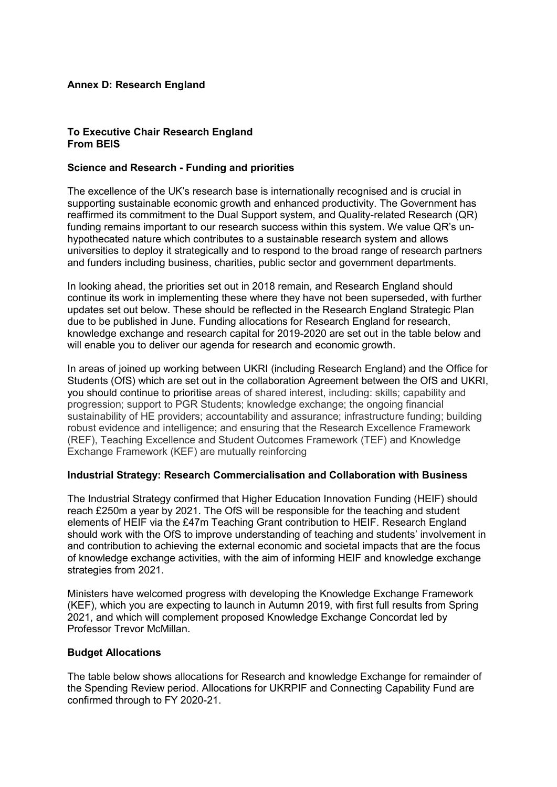# **Annex D: Research England**

### **To Executive Chair Research England From BEIS**

# **Science and Research - Funding and priorities**

The excellence of the UK's research base is internationally recognised and is crucial in supporting sustainable economic growth and enhanced productivity. The Government has reaffirmed its commitment to the Dual Support system, and Quality-related Research (QR) funding remains important to our research success within this system. We value QR's unhypothecated nature which contributes to a sustainable research system and allows universities to deploy it strategically and to respond to the broad range of research partners and funders including business, charities, public sector and government departments.

In looking ahead, the priorities set out in 2018 remain, and Research England should continue its work in implementing these where they have not been superseded, with further updates set out below. These should be reflected in the Research England Strategic Plan due to be published in June. Funding allocations for Research England for research, knowledge exchange and research capital for 2019-2020 are set out in the table below and will enable you to deliver our agenda for research and economic growth.

In areas of joined up working between UKRI (including Research England) and the Office for Students (OfS) which are set out in the collaboration Agreement between the OfS and UKRI, you should continue to prioritise areas of shared interest, including: skills; capability and progression; support to PGR Students; knowledge exchange; the ongoing financial sustainability of HE providers; accountability and assurance; infrastructure funding; building robust evidence and intelligence; and ensuring that the Research Excellence Framework (REF), Teaching Excellence and Student Outcomes Framework (TEF) and Knowledge Exchange Framework (KEF) are mutually reinforcing

## **Industrial Strategy: Research Commercialisation and Collaboration with Business**

The Industrial Strategy confirmed that Higher Education Innovation Funding (HEIF) should reach £250m a year by 2021. The OfS will be responsible for the teaching and student elements of HEIF via the £47m Teaching Grant contribution to HEIF. Research England should work with the OfS to improve understanding of teaching and students' involvement in and contribution to achieving the external economic and societal impacts that are the focus of knowledge exchange activities, with the aim of informing HEIF and knowledge exchange strategies from 2021.

Ministers have welcomed progress with developing the Knowledge Exchange Framework (KEF), which you are expecting to launch in Autumn 2019, with first full results from Spring 2021, and which will complement proposed Knowledge Exchange Concordat led by Professor Trevor McMillan.

## **Budget Allocations**

The table below shows allocations for Research and knowledge Exchange for remainder of the Spending Review period. Allocations for UKRPIF and Connecting Capability Fund are confirmed through to FY 2020-21.